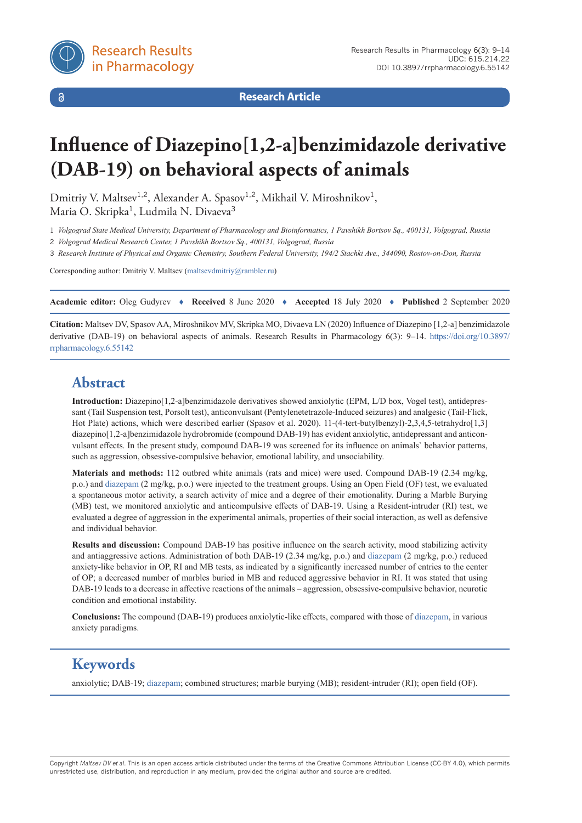$\delta$ 

**Research Article**

# **Influence of Diazepino[1,2-a]benzimidazole derivative (DAB-19) on behavioral aspects of animals**

Dmitriy V. Maltsev<sup>1,2</sup>, Alexander A. Spasov<sup>1,2</sup>, Mikhail V. Miroshnikov<sup>1</sup>, Maria O. Skripka<sup>1</sup>, Ludmila N. Divaeva<sup>3</sup>

1 *Volgograd State Medical University, Department of Pharmacology and Bioinformatics, 1 Pavshikh Bortsov Sq., 400131, Volgograd, Russia*

2 *Volgograd Medical Research Center, 1 Pavshikh Bortsov Sq., 400131, Volgograd, Russia*

3 *Research Institute of Physical and Organic Chemistry, Southern Federal University, 194/2 Stachki Ave., 344090, Rostov-on-Don, Russia*

Corresponding author: Dmitriy V. Maltsev ([maltsevdmitriy@rambler.ru](mailto:maltsevdmitriy@rambler.ru))

**Academic editor:** Oleg Gudyrev ♦ **Received** 8 June 2020 ♦ **Accepted** 18 July 2020 ♦ **Published** 2 September 2020

**Citation:** Maltsev DV, Spasov AA, Miroshnikov MV, Skripka MO, Divaeva LN (2020) Influence of Diazepino [1,2-a] benzimidazole derivative (DAB-19) on behavioral aspects of animals. Research Results in Pharmacology 6(3): 9–14. [https://doi.org/10.3897/](https://doi.org/10.3897/rrpharmacology.6.55142) [rrpharmacology.6.55142](https://doi.org/10.3897/rrpharmacology.6.55142)

# **Abstract**

**Introduction:** Diazepino[1,2-a]benzimidazole derivatives showed anxiolytic (EPM, L/D box, Vogel test), antidepressant (Tail Suspension test, Porsolt test), anticonvulsant (Pentylenetetrazole-Induced seizures) and analgesic (Tail-Flick, Hot Plate) actions, which were described earlier (Spasov et al. 2020). 11-(4-tert-butylbenzyl)-2,3,4,5-tetrahydro[1,3] diazepino[1,2-a]benzimidazole hydrobromide (compound DAB-19) has evident anxiolytic, antidepressant and anticonvulsant effects. In the present study, compound DAB-19 was screened for its influence on animals` behavior patterns, such as aggression, obsessive-compulsive behavior, emotional lability, and unsociability.

**Materials and methods:** 112 outbred white animals (rats and mice) were used. Compound DAB-19 (2.34 mg/kg, p.o.) and [diazepam](https://pubchem.ncbi.nlm.nih.gov/compound/Diazepam) (2 mg/kg, p.o.) were injected to the treatment groups. Using an Open Field (OF) test, we evaluated a spontaneous motor activity, a search activity of mice and a degree of their emotionality. During a Marble Burying (MB) test, we monitored anxiolytic and anticompulsive effects of DAB-19. Using a Resident-intruder (RI) test, we evaluated a degree of aggression in the experimental animals, properties of their social interaction, as well as defensive and individual behavior.

**Results and discussion:** Compound DAB-19 has positive influence on the search activity, mood stabilizing activity and antiaggressive actions. Administration of both DAB-19 (2.34 mg/kg, p.o.) and [diazepam](https://pubchem.ncbi.nlm.nih.gov/compound/Diazepam) (2 mg/kg, p.o.) reduced anxiety-like behavior in OP, RI and MB tests, as indicated by a significantly increased number of entries to the center of OP; a decreased number of marbles buried in MB and reduced aggressive behavior in RI. It was stated that using DAB-19 leads to a decrease in affective reactions of the animals – aggression, obsessive-compulsive behavior, neurotic condition and emotional instability.

**Conclusions:** The compound (DAB-19) produces anxiolytic-like effects, compared with those of [diazepam](https://pubchem.ncbi.nlm.nih.gov/compound/Diazepam), in various anxiety paradigms.

# **Keywords**

anxiolytic; DAB-19; [diazepam;](http://) combined structures; marble burying (MB); resident-intruder (RI); open field (OF).

Copyright *Maltsev DV et al.* This is an open access article distributed under the terms of the Creative Commons Attribution License (CC-BY 4.0), which permits unrestricted use, distribution, and reproduction in any medium, provided the original author and source are credited.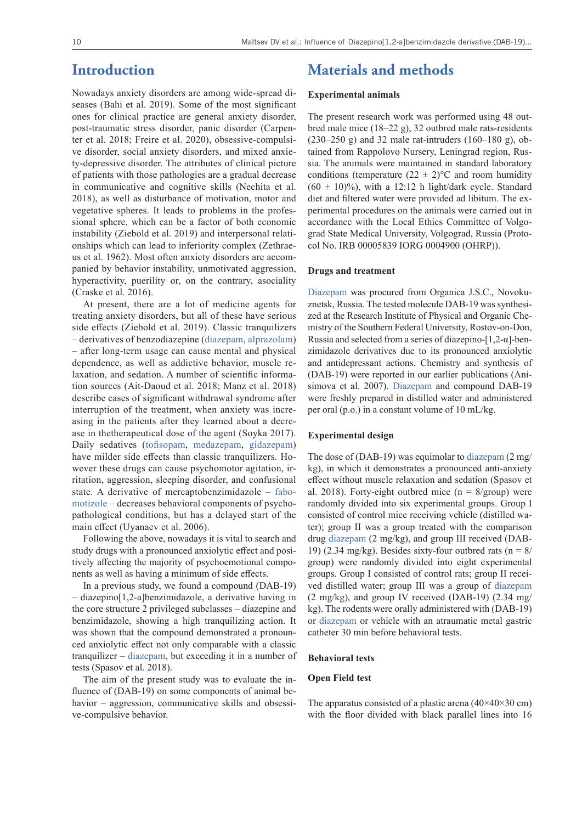### **Introduction**

Nowadays anxiety disorders are among wide-spread diseases (Bahi et al. 2019). Some of the most significant ones for clinical practice are general anxiety disorder, post-traumatic stress disorder, panic disorder (Carpenter et al. 2018; Freire et al. 2020), obsessive-compulsive disorder, social anxiety disorders, and mixed anxiety-depressive disorder. The attributes of clinical picture of patients with those pathologies are a gradual decrease in communicative and cognitive skills (Nechita et al. 2018), as well as disturbance of motivation, motor and vegetative spheres. It leads to problems in the professional sphere, which can be a factor of both economic instability (Ziebold et al. 2019) and interpersonal relationships which can lead to inferiority complex (Zethraeus et al. 1962). Most often anxiety disorders are accompanied by behavior instability, unmotivated aggression, hyperactivity, puerility or, on the contrary, asociality (Craske et al. 2016).

At present, there are a lot of medicine agents for treating anxiety disorders, but all of these have serious side effects (Ziebold et al. 2019). Classic tranquilizers – derivatives of benzodiazepine ([diazepam](https://pubchem.ncbi.nlm.nih.gov/compound/Diazepam), [alprazolam](https://pubchem.ncbi.nlm.nih.gov/compound/Alprazolam)) – after long-term usage can cause mental and physical dependence, as well as addictive behavior, muscle relaxation, and sedation. A number of scientific information sources (Ait-Daoud et al. 2018; Manz et al. 2018) describe cases of significant withdrawal syndrome after interruption of the treatment, when anxiety was increasing in the patients after they learned about a decrease in thetherapeutical dose of the agent (Soyka 2017). Daily sedatives ([tofisopam](https://pubchem.ncbi.nlm.nih.gov/compound/Tofisopam), [medazepam](https://pubchem.ncbi.nlm.nih.gov/compound/Medazepam), [gidazepam](https://pubchem.ncbi.nlm.nih.gov/compound/Gidazepam)) have milder side effects than classic tranquilizers. However these drugs can cause psychomotor agitation, irritation, aggression, sleeping disorder, and confusional state. A derivative of mercaptobenzimidazole – [fabo](https://pubchem.ncbi.nlm.nih.gov/compound/Fabomotizole)[motizole](https://pubchem.ncbi.nlm.nih.gov/compound/Fabomotizole) – decreases behavioral components of psychopathological conditions, but has a delayed start of the main effect (Uyanaev et al. 2006).

Following the above, nowadays it is vital to search and study drugs with a pronounced anxiolytic effect and positively affecting the majority of psychoemotional components as well as having a minimum of side effects.

In a previous study, we found a compound (DAB-19) – diazepino[1,2-a]benzimidazole, a derivative having in the core structure 2 privileged subclasses – diazepine and benzimidazole, showing a high tranquilizing action. It was shown that the compound demonstrated a pronounced anxiolytic effect not only comparable with a classic tranquilizer – [diazepam](https://pubchem.ncbi.nlm.nih.gov/compound/Diazepam), but exceeding it in a number of tests (Spasov et al. 2018).

The aim of the present study was to evaluate the influence of (DAB-19) on some components of animal behavior – aggression, communicative skills and obsessive-compulsive behavior.

### **Materials and methods**

#### **Experimental animals**

The present research work was performed using 48 outbred male mice (18–22 g), 32 outbred male rats-residents  $(230-250 \text{ g})$  and 32 male rat-intruders  $(160-180 \text{ g})$ , obtained from Rappolovo Nursery, Leningrad region, Russia. The animals were maintained in standard laboratory conditions (temperature  $(22 \pm 2)$ °C and room humidity  $(60 \pm 10)\%$ ), with a 12:12 h light/dark cycle. Standard diet and filtered water were provided ad libitum. The experimental procedures on the animals were carried out in accordance with the Local Ethics Committee of Volgograd State Medical University, Volgograd, Russia (Protocol No. IRB 00005839 IORG 0004900 (OHRP)).

#### **Drugs and treatment**

[Diazepam](https://pubchem.ncbi.nlm.nih.gov/compound/Diazepam) was procured from Organica J.S.C., Novokuznetsk, Russia. The tested molecule DAB-19 was synthesized at the Research Institute of Physical and Organic Chemistry of the Southern Federal University, Rostov-on-Don, Russia and selected from a series of diazepino-[1,2-α]-benzimidazole derivatives due to its pronounced anxiolytic and antidepressant actions. Chemistry and synthesis of (DAB-19) were reported in our earlier publications (Anisimova et al. 2007). [Diazepam](https://pubchem.ncbi.nlm.nih.gov/compound/Diazepam) and compound DAB-19 were freshly prepared in distilled water and administered per oral (p.o.) in a constant volume of 10 mL/kg.

#### **Experimental design**

The dose of (DAB-19) was equimolar to [diazepam](https://pubchem.ncbi.nlm.nih.gov/compound/Diazepam) (2 mg/ kg), in which it demonstrates a pronounced anti-anxiety effect without muscle relaxation and sedation (Spasov et al. 2018). Forty-eight outbred mice ( $n = 8/$ group) were randomly divided into six experimental groups. Group I consisted of control mice receiving vehicle (distilled water); group II was a group treated with the comparison drug [diazepam](https://pubchem.ncbi.nlm.nih.gov/compound/Diazepam) (2 mg/kg), and group III received (DAB-19) (2.34 mg/kg). Besides sixty-four outbred rats ( $n = 8/$ group) were randomly divided into eight experimental groups. Group I consisted of control rats; group II received distilled water; group III was a group of [diazepam](https://pubchem.ncbi.nlm.nih.gov/compound/Diazepam) (2 mg/kg), and group IV received (DAB-19) (2.34 mg/ kg). The rodents were orally administered with (DAB-19) or [diazepam](https://pubchem.ncbi.nlm.nih.gov/compound/Diazepam) or vehicle with an atraumatic metal gastric catheter 30 min before behavioral tests.

#### **Behavioral tests**

#### **Open Field test**

The apparatus consisted of a plastic arena  $(40\times40\times30$  cm) with the floor divided with black parallel lines into 16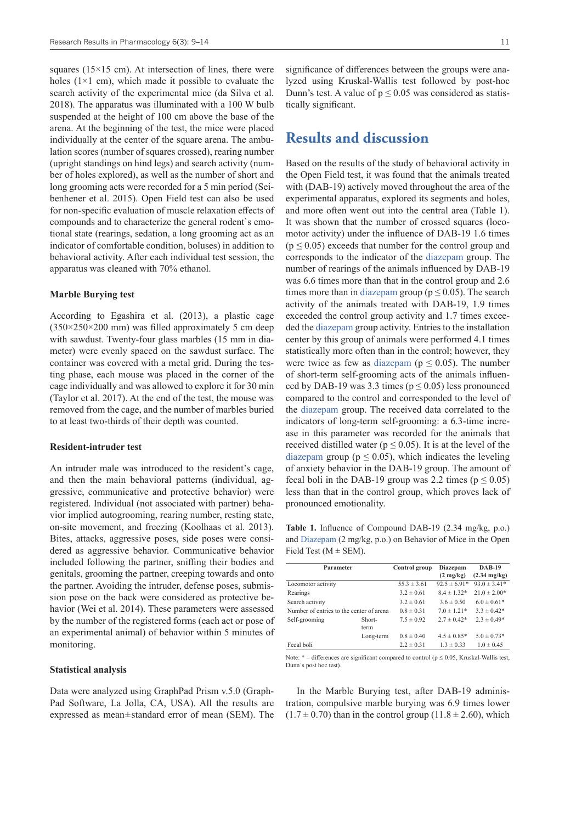squares (15×15 cm). At intersection of lines, there were holes  $(1\times1$  cm), which made it possible to evaluate the search activity of the experimental mice (da Silva et al. 2018). The apparatus was illuminated with a 100 W bulb suspended at the height of 100 cm above the base of the arena. At the beginning of the test, the mice were placed individually at the center of the square arena. The ambulation scores (number of squares crossed), rearing number (upright standings on hind legs) and search activity (number of holes explored), as well as the number of short and long grooming acts were recorded for a 5 min period (Seibenhener et al. 2015). Open Field test can also be used for non-specific evaluation of muscle relaxation effects of compounds and to characterize the general rodent`s emotional state (rearings, sedation, a long grooming act as an indicator of comfortable condition, boluses) in addition to behavioral activity. After each individual test session, the apparatus was cleaned with 70% ethanol.

#### **Marble Burying test**

According to Egashira et al. (2013), a plastic cage  $(350\times250\times200 \text{ mm})$  was filled approximately 5 cm deep with sawdust. Twenty-four glass marbles (15 mm in diameter) were evenly spaced on the sawdust surface. The container was covered with a metal grid. During the testing phase, each mouse was placed in the corner of the cage individually and was allowed to explore it for 30 min (Taylor et al. 2017). At the end of the test, the mouse was removed from the cage, and the number of marbles buried to at least two-thirds of their depth was counted.

#### **Resident-intruder test**

An intruder male was introduced to the resident's cage, and then the main behavioral patterns (individual, aggressive, communicative and protective behavior) were registered. Individual (not associated with partner) behavior implied autogrooming, rearing number, resting state, on-site movement, and freezing (Koolhaas et al. 2013). Bites, attacks, aggressive poses, side poses were considered as aggressive behavior. Communicative behavior included following the partner, sniffing their bodies and genitals, grooming the partner, creeping towards and onto the partner. Avoiding the intruder, defense poses, submission pose on the back were considered as protective behavior (Wei et al. 2014). These parameters were assessed by the number of the registered forms (each act or pose of an experimental animal) of behavior within 5 minutes of monitoring.

#### **Statistical analysis**

Data were analyzed using GraphPad Prism v.5.0 (Graph-Pad Software, La Jolla, CA, USA). All the results are expressed as mean $\pm$ standard error of mean (SEM). The significance of differences between the groups were analyzed using Kruskal-Wallis test followed by post-hoc Dunn's test. A value of  $p \le 0.05$  was considered as statistically significant.

### **Results and discussion**

Based on the results of the study of behavioral activity in the Open Field test, it was found that the animals treated with (DAB-19) actively moved throughout the area of the experimental apparatus, explored its segments and holes, and more often went out into the central area (Table 1). It was shown that the number of crossed squares (locomotor activity) under the influence of DAB-19 1.6 times  $(p \le 0.05)$  exceeds that number for the control group and corresponds to the indicator of the [diazepam](https://pubchem.ncbi.nlm.nih.gov/compound/Diazepam) group. The number of rearings of the animals influenced by DAB-19 was 6.6 times more than that in the control group and 2.6 times more than in [diazepam](https://pubchem.ncbi.nlm.nih.gov/compound/Diazepam) group ( $p \le 0.05$ ). The search activity of the animals treated with DAB-19, 1.9 times exceeded the control group activity and 1.7 times exceeded the [diazepam](https://pubchem.ncbi.nlm.nih.gov/compound/Diazepam) group activity. Entries to the installation center by this group of animals were performed 4.1 times statistically more often than in the control; however, they were twice as few as [diazepam](https://pubchem.ncbi.nlm.nih.gov/compound/Diazepam) ( $p \le 0.05$ ). The number of short-term self-grooming acts of the animals influenced by DAB-19 was 3.3 times ( $p \le 0.05$ ) less pronounced compared to the control and corresponded to the level of the [diazepam](https://pubchem.ncbi.nlm.nih.gov/compound/Diazepam) group. The received data correlated to the indicators of long-term self-grooming: a 6.3-time increase in this parameter was recorded for the animals that received distilled water ( $p \le 0.05$ ). It is at the level of the [diazepam](https://pubchem.ncbi.nlm.nih.gov/compound/Diazepam) group ( $p \leq 0.05$ ), which indicates the leveling of anxiety behavior in the DAB-19 group. The amount of fecal boli in the DAB-19 group was 2.2 times ( $p \le 0.05$ ) less than that in the control group, which proves lack of pronounced emotionality.

**Table 1.** Influence of Compound DAB-19 (2.34 mg/kg, p.o.) and [Diazepam](http://) (2 mg/kg, p.o.) on Behavior of Mice in the Open Field Test ( $M \pm$  SEM).

| Parameter                                |           | Control group   | Diazepam            | $DAB-19$               |
|------------------------------------------|-----------|-----------------|---------------------|------------------------|
|                                          |           |                 | $(2 \text{ mg/kg})$ | $(2.34 \text{ mg/kg})$ |
| Locomotor activity                       |           | $55.3 \pm 3.61$ | $92.5 \pm 6.91*$    | $93.0 \pm 3.41*$       |
| Rearings                                 |           | $3.2 \pm 0.61$  | $8.4 \pm 1.32*$     | $21.0 \pm 2.00*$       |
| Search activity                          |           | $3.2 \pm 0.61$  | $3.6 \pm 0.50$      | $6.0 \pm 0.61*$        |
| Number of entries to the center of arena |           | $0.8 \pm 0.31$  | $7.0 \pm 1.21*$     | $3.3 \pm 0.42^*$       |
| Self-grooming                            | Short-    | $7.5 \pm 0.92$  | $2.7 \pm 0.42*$     | $2.3 \pm 0.49*$        |
|                                          | term      |                 |                     |                        |
|                                          | Long-term | $0.8 \pm 0.40$  | $4.5 \pm 0.85*$     | $5.0 \pm 0.73*$        |
| Fecal boli                               |           | $2.2 \pm 0.31$  | $1.3 \pm 0.33$      | $1.0 \pm 0.45$         |

Note:  $*$  – differences are significant compared to control ( $p \le 0.05$ , Kruskal-Wallis test, Dunn`s post hoc test).

In the Marble Burying test, after DAB-19 administration, compulsive marble burying was 6.9 times lower  $(1.7 \pm 0.70)$  than in the control group  $(11.8 \pm 2.60)$ , which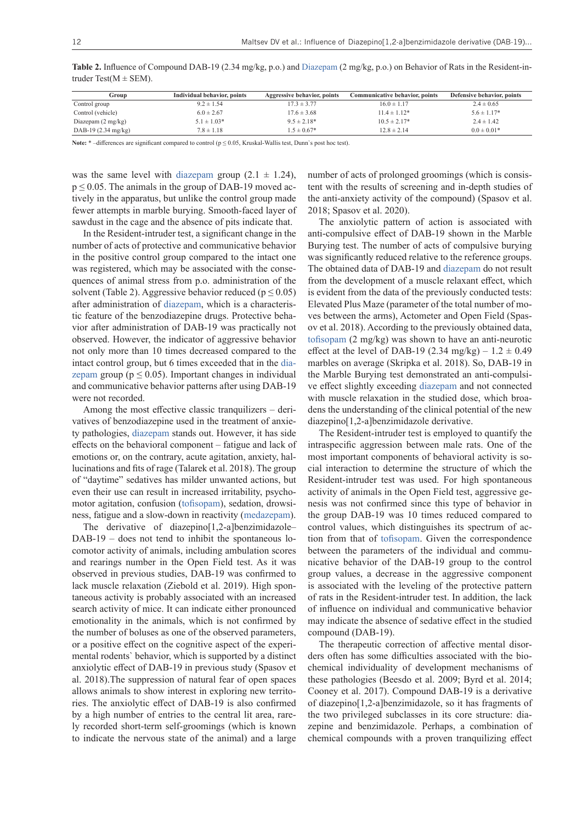| Group                         | Individual behavior, points | Aggressive behavior, points | Communicative behavior, points | Defensive behavior, points |
|-------------------------------|-----------------------------|-----------------------------|--------------------------------|----------------------------|
| Control group                 | $9.2 \pm 1.54$              | $17.3 \pm 3.77$             | $16.0 \pm 1.17$                | $2.4 \pm 0.65$             |
| Control (vehicle)             | $6.0 \pm 2.67$              | $17.6 \pm 3.68$             | $11.4 \pm 1.12*$               | $5.6 \pm 1.17*$            |
| Diazepam $(2 \text{ mg/kg})$  | $5.1 \pm 1.03*$             | $9.5 \pm 2.18*$             | $10.5 \pm 2.17*$               | $2.4 \pm 1.42$             |
| DAB-19 $(2.34 \text{ mg/kg})$ | $7.8 \pm 1.18$              | $1.5 \pm 0.67*$             | $12.8 \pm 2.14$                | $0.0 \pm 0.01*$            |

**Table 2.** Influence of Compound DAB-19 (2.34 mg/kg, p.o.) and [Diazepam](http://) (2 mg/kg, p.o.) on Behavior of Rats in the Resident-intruder Test( $M \pm$  SEM).

Note: <sup>\*</sup> −differences are significant compared to control ( $p ≤ 0.05$ , Kruskal-Wallis test, Dunn`s post hoc test).

was the same level with [diazepam](https://pubchem.ncbi.nlm.nih.gov/compound/Diazepam) group  $(2.1 \pm 1.24)$ ,  $p \le 0.05$ . The animals in the group of DAB-19 moved actively in the apparatus, but unlike the control group made fewer attempts in marble burying. Smooth-faced layer of sawdust in the cage and the absence of pits indicate that.

In the Resident-intruder test, a significant change in the number of acts of protective and communicative behavior in the positive control group compared to the intact one was registered, which may be associated with the consequences of animal stress from p.o. administration of the solvent (Table 2). Aggressive behavior reduced ( $p \le 0.05$ ) after administration of [diazepam,](https://pubchem.ncbi.nlm.nih.gov/compound/Diazepam) which is a characteristic feature of the benzodiazepine drugs. Protective behavior after administration of DAB-19 was practically not observed. However, the indicator of aggressive behavior not only more than 10 times decreased compared to the intact control group, but 6 times exceeded that in the [dia](https://pubchem.ncbi.nlm.nih.gov/compound/Diazepam)[zepam](https://pubchem.ncbi.nlm.nih.gov/compound/Diazepam) group ( $p \leq 0.05$ ). Important changes in individual and communicative behavior patterns after using DAB-19 were not recorded.

Among the most effective classic tranquilizers – derivatives of benzodiazepine used in the treatment of anxiety pathologies, [diazepam](https://pubchem.ncbi.nlm.nih.gov/compound/Diazepamhttps:/pubchem.ncbi.nlm.nih.gov/compound/Diazepam) stands out. However, it has side effects on the behavioral component – fatigue and lack of emotions or, on the contrary, acute agitation, anxiety, hallucinations and fits of rage (Talarek et al. 2018). The group of "daytime" sedatives has milder unwanted actions, but even their use can result in increased irritability, psychomotor agitation, confusion [\(tofisopam](https://pubchem.ncbi.nlm.nih.gov/compound/Tofisopam)), sedation, drowsiness, fatigue and a slow-down in reactivity ([medazepam](https://pubchem.ncbi.nlm.nih.gov/compound/Medazepam)).

The derivative of diazepino[1,2-a]benzimidazole– DAB-19 – does not tend to inhibit the spontaneous locomotor activity of animals, including ambulation scores and rearings number in the Open Field test. As it was observed in previous studies, DAB-19 was confirmed to lack muscle relaxation (Ziebold et al. 2019). High spontaneous activity is probably associated with an increased search activity of mice. It can indicate either pronounced emotionality in the animals, which is not confirmed by the number of boluses as one of the observed parameters, or a positive effect on the cognitive aspect of the experimental rodents` behavior, which is supported by a distinct anxiolytic effect of DAB-19 in previous study (Spasov et al. 2018).The suppression of natural fear of open spaces allows animals to show interest in exploring new territories. The anxiolytic effect of DAB-19 is also confirmed by a high number of entries to the central lit area, rarely recorded short-term self-groomings (which is known to indicate the nervous state of the animal) and a large number of acts of prolonged groomings (which is consistent with the results of screening and in-depth studies of the anti-anxiety activity of the compound) (Spasov et al. 2018; Spasov et al. 2020).

The anxiolytic pattern of action is associated with anti-compulsive effect of DAB-19 shown in the Marble Burying test. The number of acts of compulsive burying was significantly reduced relative to the reference groups. The obtained data of DAB-19 and [diazepam](https://pubchem.ncbi.nlm.nih.gov/compound/Diazepamhttps:/pubchem.ncbi.nlm.nih.gov/compound/Diazepam) do not result from the development of a muscle relaxant effect, which is evident from the data of the previously conducted tests: Elevated Plus Maze (parameter of the total number of moves between the arms), Actometer and Open Field (Spasov et al. 2018). According to the previously obtained data, [tofisopam](https://pubchem.ncbi.nlm.nih.gov/compound/Tofisopam) (2 mg/kg) was shown to have an anti-neurotic effect at the level of DAB-19 (2.34 mg/kg) –  $1.2 \pm 0.49$ marbles on average (Skripka et al. 2018). So, DAB-19 in the Marble Burying test demonstrated an anti-compulsive effect slightly exceeding [diazepam](https://pubchem.ncbi.nlm.nih.gov/compound/Diazepamhttps:/pubchem.ncbi.nlm.nih.gov/compound/Diazepam) and not connected with muscle relaxation in the studied dose, which broadens the understanding of the clinical potential of the new diazepino[1,2-a]benzimidazole derivative.

The Resident-intruder test is employed to quantify the intraspecific aggression between male rats. One of the most important components of behavioral activity is social interaction to determine the structure of which the Resident-intruder test was used. For high spontaneous activity of animals in the Open Field test, aggressive genesis was not confirmed since this type of behavior in the group DAB-19 was 10 times reduced compared to control values, which distinguishes its spectrum of action from that of [tofisopam.](https://pubchem.ncbi.nlm.nih.gov/compound/Tofisopam) Given the correspondence between the parameters of the individual and communicative behavior of the DAB-19 group to the control group values, a decrease in the aggressive component is associated with the leveling of the protective pattern of rats in the Resident-intruder test. In addition, the lack of influence on individual and communicative behavior may indicate the absence of sedative effect in the studied compound (DAB-19).

The therapeutic correction of affective mental disorders often has some difficulties associated with the biochemical individuality of development mechanisms of these pathologies (Beesdo et al. 2009; Byrd et al. 2014; Cooney et al. 2017). Compound DAB-19 is a derivative of diazepino[1,2-a]benzimidazole, so it has fragments of the two privileged subclasses in its core structure: diazepine and benzimidazole. Perhaps, a combination of chemical compounds with a proven tranquilizing effect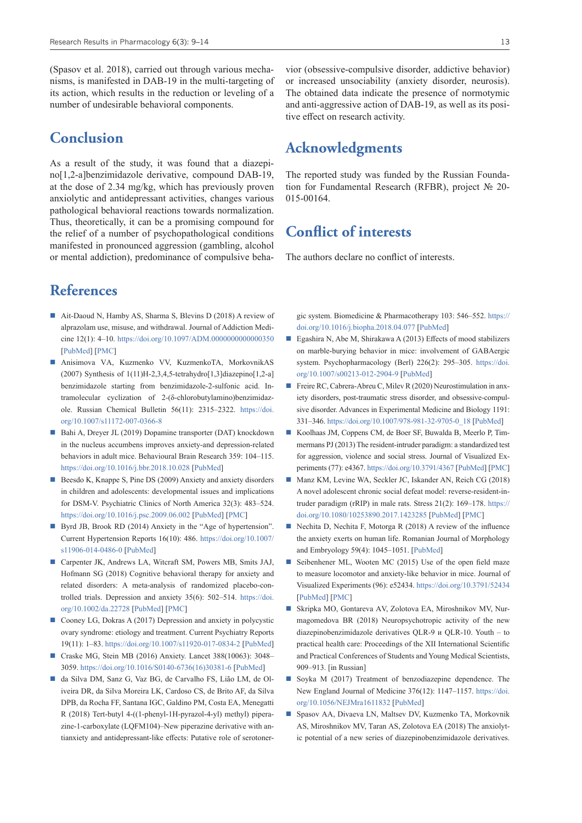(Spasov et al. 2018), carried out through various mechanisms, is manifested in DAB-19 in the multi-targeting of its action, which results in the reduction or leveling of a number of undesirable behavioral components.

### **Conclusion**

As a result of the study, it was found that a diazepino[1,2-a]benzimidazole derivative, compound DAB-19, at the dose of 2.34 mg/kg, which has previously proven anxiolytic and antidepressant activities, changes various pathological behavioral reactions towards normalization. Thus, theoretically, it can be a promising compound for the relief of a number of psychopathological conditions manifested in pronounced aggression (gambling, alcohol or mental addiction), predominance of compulsive beha-

# **References**

- Ait-Daoud N, Hamby AS, Sharma S, Blevins D (2018) A review of alprazolam use, misuse, and withdrawal. Journal of Addiction Medicine 12(1): 4–10. <https://doi.org/10.1097/ADM.0000000000000350> [\[PubMed](https://pubmed.ncbi.nlm.nih.gov/28777203/)] [\[PMC](https://www.ncbi.nlm.nih.gov/pmc/articles/PMC5846112/)]
- Anisimova VА, Kuzmenko VV, KuzmenkoТА, MorkovnikАS (2007) Synthesis of  $1(11)H-2,3,4,5$ -tetrahydro $[1,3]$ diazepino $[1,2-a]$ benzimidazole starting from benzimidazole-2-sulfonic acid. Intramolecular cyclization of 2-(δ-chlorobutylamino)benzimidazole. Russian Chemical Bulletin 56(11): 2315–2322. [https://doi.](https://doi.org/10.1007/s11172-007-0366-8) [org/10.1007/s11172-007-0366-8](https://doi.org/10.1007/s11172-007-0366-8)
- Bahi A, Dreyer JL (2019) Dopamine transporter (DAT) knockdown in the nucleus accumbens improves anxiety-and depression-related behaviors in adult mice. Behavioural Brain Research 359: 104–115. <https://doi.org/10.1016/j.bbr.2018.10.028> [[PubMed\]](https://pubmed.ncbi.nlm.nih.gov/30367968/)
- Beesdo K, Knappe S, Pine DS (2009) Anxiety and anxiety disorders in children and adolescents: developmental issues and implications for DSM-V. Psychiatric Clinics of North America 32(3): 483–524. <https://doi.org/10.1016/j.psc.2009.06.002>[\[PubMed](https://pubmed.ncbi.nlm.nih.gov/19716988/)] [[PMC\]](https://www.ncbi.nlm.nih.gov/pmc/articles/PMC3018839/)
- Byrd JB, Brook RD (2014) Anxiety in the "Age of hypertension". Current Hypertension Reports 16(10): 486. [https://doi.org/10.1007/](https://doi.org/10.1007/s11906-014-0486-0) [s11906-014-0486-0](https://doi.org/10.1007/s11906-014-0486-0) [[PubMed\]](https://pubmed.ncbi.nlm.nih.gov/25164965/)
- Carpenter JK, Andrews LA, Witcraft SM, Powers MB, Smits JAJ, Hofmann SG (2018) Cognitive behavioral therapy for anxiety and related disorders: A meta-analysis of randomized placebo-controlled trials. Depression and anxiety 35(6): 502–514. [https://doi.](https://doi.org/10.1002/da.22728) [org/10.1002/da.22728](https://doi.org/10.1002/da.22728) [[PubMed\]](https://pubmed.ncbi.nlm.nih.gov/29451967/) [[PMC\]](https://www.ncbi.nlm.nih.gov/pmc/articles/PMC5992015/)
- Cooney LG, Dokras A (2017) Depression and anxiety in polycystic ovary syndrome: etiology and treatment. Current Psychiatry Reports 19(11): 1–83. <https://doi.org/10.1007/s11920-017-0834-2>[[PubMed\]](https://pubmed.ncbi.nlm.nih.gov/28929349/)
- Craske MG, Stein MB (2016) Anxiety. Lancet 388(10063): 3048– 3059. [https://doi.org/10.1016/S0140-6736\(16\)30381-6](https://doi.org/10.1016/S0140-6736(16)30381-6) [[PubMed\]](https://pubmed.ncbi.nlm.nih.gov/27349358/)
- da Silva DM, Sanz G, Vaz BG, de Carvalho FS, Lião LM, de Oliveira DR, da Silva Moreira LK, Cardoso CS, de Brito AF, da Silva DPB, da Rocha FF, Santana IGC, Galdino PM, Costa EA, Menegatti R (2018) Tert-butyl 4-((1-phenyl-1H-pyrazol-4-yl) methyl) piperazine-1-carboxylate (LQFM104)–New piperazine derivative with antianxiety and antidepressant-like effects: Putative role of serotoner-

vior (obsessive-compulsive disorder, addictive behavior) or increased unsociability (anxiety disorder, neurosis). The obtained data indicate the presence of normotymic and anti-aggressive action of DAB-19, as well as its positive effect on research activity.

### **Acknowledgments**

The reported study was funded by the Russian Foundation for Fundamental Research (RFBR), project № 20- 015-00164.

# **Conflict of interests**

The authors declare no conflict of interests.

gic system. Biomedicine & Pharmacotherapy 103: 546–552. [https://](https://doi.org/10.1016/j.biopha.2018.04.077) [doi.org/10.1016/j.biopha.2018.04.077](https://doi.org/10.1016/j.biopha.2018.04.077) [\[PubMed\]](https://pubmed.ncbi.nlm.nih.gov/29677541/)

- Egashira N, Abe M, Shirakawa A (2013) Effects of mood stabilizers on marble-burying behavior in mice: involvement of GABAergic system. Psychopharmacology (Berl) 226(2): 295–305. [https://doi.](https://doi.org/10.1007/s00213-012-2904-9) [org/10.1007/s00213-012-2904-9](https://doi.org/10.1007/s00213-012-2904-9) [\[PubMed](https://pubmed.ncbi.nlm.nih.gov/23086022/)]
- Freire RC, Cabrera-Abreu C, Milev R (2020) Neurostimulation in anxiety disorders, post-traumatic stress disorder, and obsessive-compulsive disorder. Advances in Experimental Medicine and Biology 1191: 331–346. [https://doi.org/10.1007/978-981-32-9705-0\\_18](https://doi.org/10.1007/978-981-32-9705-0_18) [\[PubMed\]](https://pubmed.ncbi.nlm.nih.gov/32002936/)
- Koolhaas JM, Coppens CM, de Boer SF, Buwalda B, Meerlo P, Timmermans PJ (2013) The resident-intruder paradigm: a standardized test for aggression, violence and social stress. Journal of Visualized Experiments (77): e4367. <https://doi.org/10.3791/4367> [[PubMed](https://pubmed.ncbi.nlm.nih.gov/23852258/)] [\[PMC\]](https://www.ncbi.nlm.nih.gov/pmc/articles/PMC3731199/)
- Manz KM, Levine WA, Seckler JC, Iskander AN, Reich CG (2018) A novel adolescent chronic social defeat model: reverse-resident-intruder paradigm (rRIP) in male rats. Stress 21(2): 169–178. [https://](https://doi.org/10.1080/10253890.2017.1423285) [doi.org/10.1080/10253890.2017.1423285](https://doi.org/10.1080/10253890.2017.1423285) [\[PubMed\]](https://pubmed.ncbi.nlm.nih.gov/29307250/) [[PMC\]](https://www.ncbi.nlm.nih.gov/pmc/articles/PMC6137812/)
- Nechita D, Nechita F, Motorga R  $(2018)$  A review of the influence the anxiety exerts on human life. Romanian Journal of Morphology and Embryology 59(4): 1045–1051. [\[PubMed\]](https://pubmed.ncbi.nlm.nih.gov/30845283/)
- Seibenhener ML, Wooten MC (2015) Use of the open field maze to measure locomotor and anxiety-like behavior in mice. Journal of Visualized Experiments (96): e52434.<https://doi.org/10.3791/52434> [\[PubMed](https://pubmed.ncbi.nlm.nih.gov/25742564/)] [[PMC\]](https://www.ncbi.nlm.nih.gov/pmc/articles/PMC4354627/)
- Skripka МО, Gontareva АV, Zolotova ЕА, Miroshnikov МV, Nurmagomedova BR (2018) Neuropsychotropic activity of the new diazepinobenzimidazole derivatives QLR-9 и QLR-10. Youth – to practical health care: Proceedings of the XII International Scientific and Practical Conferences of Students and Young Medical Scientists, 909–913. [in Russian]
- Soyka M (2017) Treatment of benzodiazepine dependence. The New England Journal of Medicine 376(12): 1147–1157. [https://doi.](https://doi.org/10.1056/NEJMra1611832) [org/10.1056/NEJMra1611832](https://doi.org/10.1056/NEJMra1611832) [\[PubMed](https://pubmed.ncbi.nlm.nih.gov/28328330/)]
- Spasov AA, Divaeva LN, Maltsev DV, Kuzmenko TA, Morkovnik АS, Miroshnikov МV, Таrаn АS, Zolotova ЕА (2018) The anxiolytic potential of a new series of diazepinobenzimidazole derivatives.